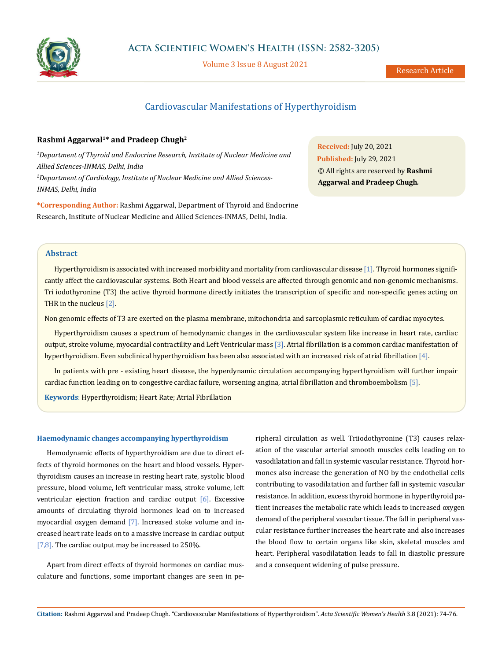

Volume 3 Issue 8 August 2021

# Cardiovascular Manifestations of Hyperthyroidism

# **Rashmi Aggarwal1\* and Pradeep Chugh2**

*1 Department of Thyroid and Endocrine Research, Institute of Nuclear Medicine and Allied Sciences-INMAS, Delhi, India 2 Department of Cardiology, Institute of Nuclear Medicine and Allied Sciences-INMAS, Delhi, India*

**\*Corresponding Author:** Rashmi Aggarwal, Department of Thyroid and Endocrine Research, Institute of Nuclear Medicine and Allied Sciences-INMAS, Delhi, India.

**Received:** July 20, 2021 **Published:** July 29, 2021 © All rights are reserved by **Rashmi Aggarwal and Pradeep Chugh***.*

### **Abstract**

Hyperthyroidism is associated with increased morbidity and mortality from cardiovascular disease [1]. Thyroid hormones significantly affect the cardiovascular systems. Both Heart and blood vessels are affected through genomic and non-genomic mechanisms. Tri iodothyronine (T3) the active thyroid hormone directly initiates the transcription of specific and non-specific genes acting on THR in the nucleus [2].

Non genomic effects of T3 are exerted on the plasma membrane, mitochondria and sarcoplasmic reticulum of cardiac myocytes.

Hyperthyroidism causes a spectrum of hemodynamic changes in the cardiovascular system like increase in heart rate, cardiac output, stroke volume, myocardial contractility and Left Ventricular mass [3]. Atrial fibrillation is a common cardiac manifestation of hyperthyroidism. Even subclinical hyperthyroidism has been also associated with an increased risk of atrial fibrillation [4].

In patients with pre - existing heart disease, the hyperdynamic circulation accompanying hyperthyroidism will further impair cardiac function leading on to congestive cardiac failure, worsening angina, atrial fibrillation and thromboembolism [5].

**Keywords**: Hyperthyroidism; Heart Rate; Atrial Fibrillation

#### **Haemodynamic changes accompanying hyperthyroidism**

Hemodynamic effects of hyperthyroidism are due to direct effects of thyroid hormones on the heart and blood vessels. Hyperthyroidism causes an increase in resting heart rate, systolic blood pressure, blood volume, left ventricular mass, stroke volume, left ventricular ejection fraction and cardiac output  $[6]$ . Excessive amounts of circulating thyroid hormones lead on to increased myocardial oxygen demand [7]. Increased stoke volume and increased heart rate leads on to a massive increase in cardiac output [7,8]. The cardiac output may be increased to 250%.

Apart from direct effects of thyroid hormones on cardiac musculature and functions, some important changes are seen in pe-

ripheral circulation as well. Triiodothyronine (T3) causes relaxation of the vascular arterial smooth muscles cells leading on to vasodilatation and fall in systemic vascular resistance. Thyroid hormones also increase the generation of NO by the endothelial cells contributing to vasodilatation and further fall in systemic vascular resistance. In addition, excess thyroid hormone in hyperthyroid patient increases the metabolic rate which leads to increased oxygen demand of the peripheral vascular tissue. The fall in peripheral vascular resistance further increases the heart rate and also increases the blood flow to certain organs like skin, skeletal muscles and heart. Peripheral vasodilatation leads to fall in diastolic pressure and a consequent widening of pulse pressure.

**Citation:** Rashmi Aggarwal and Pradeep Chugh*.* "Cardiovascular Manifestations of Hyperthyroidism". *Acta Scientific Women's Health* 3.8 (2021): 74-76.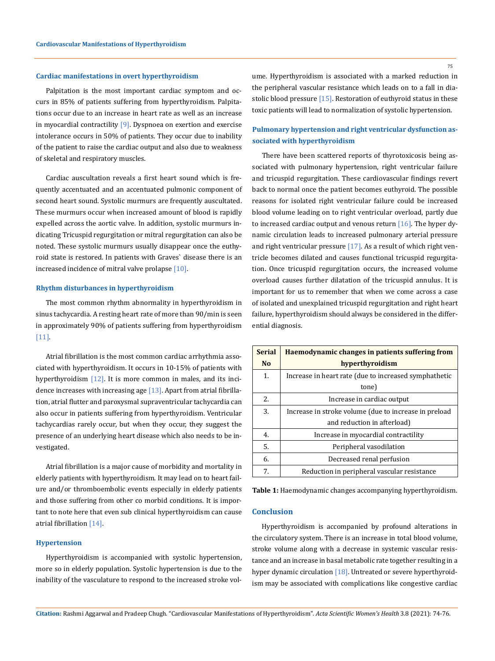#### **Cardiac manifestations in overt hyperthyroidism**

Palpitation is the most important cardiac symptom and occurs in 85% of patients suffering from hyperthyroidism. Palpitations occur due to an increase in heart rate as well as an increase in myocardial contractility  $[9]$ . Dyspnoea on exertion and exercise intolerance occurs in 50% of patients. They occur due to inability of the patient to raise the cardiac output and also due to weakness of skeletal and respiratory muscles.

Cardiac auscultation reveals a first heart sound which is frequently accentuated and an accentuated pulmonic component of second heart sound. Systolic murmurs are frequently auscultated. These murmurs occur when increased amount of blood is rapidly expelled across the aortic valve. In addition, systolic murmurs indicating Tricuspid regurgitation or mitral regurgitation can also be noted. These systolic murmurs usually disappear once the euthyroid state is restored. In patients with Graves` disease there is an increased incidence of mitral valve prolapse  $[10]$ .

#### **Rhythm disturbances in hyperthyroidism**

The most common rhythm abnormality in hyperthyroidism in sinus tachycardia. A resting heart rate of more than 90/min is seen in approximately 90% of patients suffering from hyperthyroidism [11].

Atrial fibrillation is the most common cardiac arrhythmia associated with hyperthyroidism. It occurs in 10-15% of patients with hyperthyroidism [12]. It is more common in males, and its incidence increases with increasing age  $[13]$ . Apart from atrial fibrillation, atrial flutter and paroxysmal supraventricular tachycardia can also occur in patients suffering from hyperthyroidism. Ventricular tachycardias rarely occur, but when they occur, they suggest the presence of an underlying heart disease which also needs to be investigated.

Atrial fibrillation is a major cause of morbidity and mortality in elderly patients with hyperthyroidism. It may lead on to heart failure and/or thromboembolic events especially in elderly patients and those suffering from other co morbid conditions. It is important to note here that even sub clinical hyperthyroidism can cause atrial fibrillation [14].

### **Hypertension**

Hyperthyroidism is accompanied with systolic hypertension, more so in elderly population. Systolic hypertension is due to the inability of the vasculature to respond to the increased stroke volume. Hyperthyroidism is associated with a marked reduction in the peripheral vascular resistance which leads on to a fall in diastolic blood pressure  $[15]$ . Restoration of euthyroid status in these toxic patients will lead to normalization of systolic hypertension.

# **Pulmonary hypertension and right ventricular dysfunction associated with hyperthyroidism**

There have been scattered reports of thyrotoxicosis being associated with pulmonary hypertension, right ventricular failure and tricuspid regurgitation. These cardiovascular findings revert back to normal once the patient becomes euthyroid. The possible reasons for isolated right ventricular failure could be increased blood volume leading on to right ventricular overload, partly due to increased cardiac output and venous return [16]. The hyper dynamic circulation leads to increased pulmonary arterial pressure and right ventricular pressure  $[17]$ . As a result of which right ventricle becomes dilated and causes functional tricuspid regurgitation. Once tricuspid regurgitation occurs, the increased volume overload causes further dilatation of the tricuspid annulus. It is important for us to remember that when we come across a case of isolated and unexplained tricuspid regurgitation and right heart failure, hyperthyroidism should always be considered in the differential diagnosis.

| <b>Serial</b>  | <b>Haemodynamic changes in patients suffering from</b> |
|----------------|--------------------------------------------------------|
| N <sub>o</sub> | hyperthyroidism                                        |
| 1.             | Increase in heart rate (due to increased symphathetic  |
|                | tone)                                                  |
| 2.             | Increase in cardiac output                             |
| 3.             | Increase in stroke volume (due to increase in preload  |
|                | and reduction in afterload)                            |
| 4.             | Increase in myocardial contractility                   |
| .5.            | Peripheral vasodilation                                |
| 6.             | Decreased renal perfusion                              |
| 7.             | Reduction in peripheral vascular resistance            |

**Table 1:** Haemodynamic changes accompanying hyperthyroidism.

### **Conclusion**

Hyperthyroidism is accompanied by profound alterations in the circulatory system. There is an increase in total blood volume, stroke volume along with a decrease in systemic vascular resistance and an increase in basal metabolic rate together resulting in a hyper dynamic circulation [18]. Untreated or severe hyperthyroidism may be associated with complications like congestive cardiac